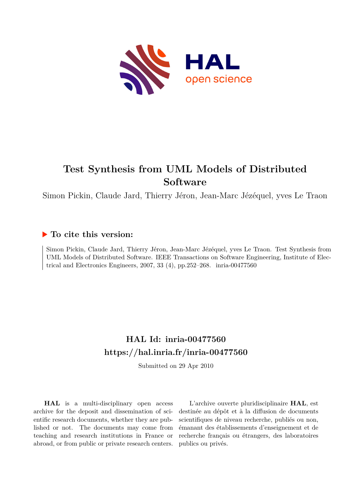

# **Test Synthesis from UML Models of Distributed Software**

Simon Pickin, Claude Jard, Thierry Jéron, Jean-Marc Jézéquel, yves Le Traon

# **To cite this version:**

Simon Pickin, Claude Jard, Thierry Jéron, Jean-Marc Jézéquel, yves Le Traon. Test Synthesis from UML Models of Distributed Software. IEEE Transactions on Software Engineering, Institute of Electrical and Electronics Engineers, 2007, 33 (4), pp.252-268. inria-00477560

# **HAL Id: inria-00477560 <https://hal.inria.fr/inria-00477560>**

Submitted on 29 Apr 2010

**HAL** is a multi-disciplinary open access archive for the deposit and dissemination of scientific research documents, whether they are published or not. The documents may come from teaching and research institutions in France or abroad, or from public or private research centers.

L'archive ouverte pluridisciplinaire **HAL**, est destinée au dépôt et à la diffusion de documents scientifiques de niveau recherche, publiés ou non, émanant des établissements d'enseignement et de recherche français ou étrangers, des laboratoires publics ou privés.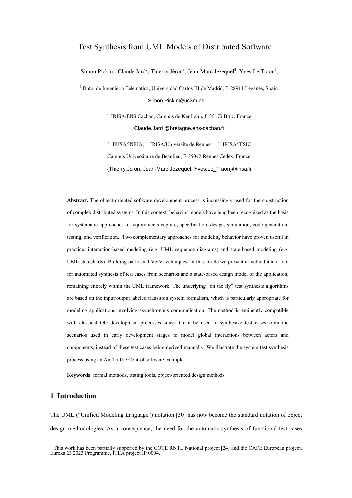# Test Synthesis from UML Models of Distributed Software<sup>1</sup>

Simon Pickin<sup>1</sup>, Claude Jard<sup>2</sup>, Thierry Jéron<sup>3</sup>, Jean-Marc Jézéquel<sup>4</sup>, Yves Le Traon<sup>5</sup>,

1 Dpto. de Ingeniería Telemática, Universidad Carlos III de Madrid, E-28911 Leganés, Spain. Simon.Pickin@uc3m.es

> <sup>2</sup> IRISA/ENS Cachan, Campus de Ker Lann, F-35170 Bruz, France. Claude.Jard @bretagne.ens-cachan.fr

> <sup>3</sup> IRISA/INRIA; <sup>4</sup> IRISA/Université de Rennes 1; <sup>5</sup> IRISA/IFSIC Campus Universitaire de Beaulieu, F-35042 Rennes Cedex, France. {Thierry.Jeron, Jean-Marc.Jezequel, Yves.Le\_Traon}@irisa.fr

 **Abstract.** The object-oriented software development process is increasingly used for the construction of complex distributed systems. In this context, behavior models have long been recognized as the basis for systematic approaches to requirements capture, specification, design, simulation, code generation, testing, and verification. Two complementary approaches for modeling behavior have proven useful in practice: interaction-based modeling (e.g. UML sequence diagrams) and state-based modeling (e.g. UML statecharts). Building on formal V&V techniques, in this article we present a method and a tool for automated synthesis of test cases from scenarios and a state-based design model of the application, remaining entirely within the UML framework. The underlying "on the fly" test synthesis algorithms are based on the input/output labeled transition system formalism, which is particularly appropriate for modeling applications involving asynchronous communication. The method is eminently compatible with classical OO development processes since it can be used to synthesize test cases from the scenarios used in early development stages to model global interactions between actors and components, instead of these test cases being derived manually. We illustrate the system test synthesis process using an Air Traffic Control software example.

**Keywords**: formal methods, testing tools, object-oriented design methods

# **1 Introduction**

 $\overline{a}$ 

The UML ("Unified Modeling Language") notation [30] has now become the standard notation of object design methodologies. As a consequence, the need for the automatic synthesis of functional test cases

<sup>&</sup>lt;sup>1</sup> This work has been partially supported by the COTE RNTL National project [24] and the CAFE European project.<br>Eureka Σ! 2023 Programme, ITEA project IP 0004.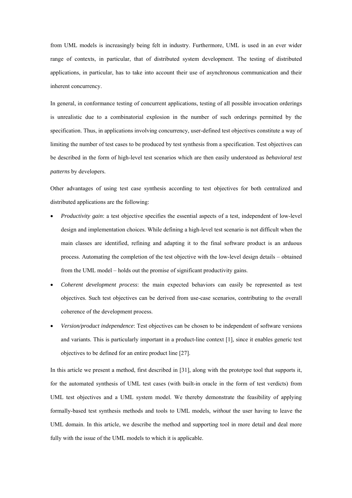from UML models is increasingly being felt in industry. Furthermore, UML is used in an ever wider range of contexts, in particular, that of distributed system development. The testing of distributed applications, in particular, has to take into account their use of asynchronous communication and their inherent concurrency.

In general, in conformance testing of concurrent applications, testing of all possible invocation orderings is unrealistic due to a combinatorial explosion in the number of such orderings permitted by the specification. Thus, in applications involving concurrency, user-defined test objectives constitute a way of limiting the number of test cases to be produced by test synthesis from a specification. Test objectives can be described in the form of high-level test scenarios which are then easily understood as *behavioral test patterns* by developers.

Other advantages of using test case synthesis according to test objectives for both centralized and distributed applications are the following:

- *Productivity gain*: a test objective specifies the essential aspects of a test, independent of low-level design and implementation choices. While defining a high-level test scenario is not difficult when the main classes are identified, refining and adapting it to the final software product is an arduous process. Automating the completion of the test objective with the low-level design details – obtained from the UML model – holds out the promise of significant productivity gains.
- *Coherent development process*: the main expected behaviors can easily be represented as test objectives. Such test objectives can be derived from use-case scenarios, contributing to the overall coherence of the development process.
- *Version/product independence*: Test objectives can be chosen to be independent of software versions and variants. This is particularly important in a product-line context [1], since it enables generic test objectives to be defined for an entire product line [27].

In this article we present a method, first described in [31], along with the prototype tool that supports it, for the automated synthesis of UML test cases (with built-in oracle in the form of test verdicts) from UML test objectives and a UML system model. We thereby demonstrate the feasibility of applying formally-based test synthesis methods and tools to UML models, *without* the user having to leave the UML domain. In this article, we describe the method and supporting tool in more detail and deal more fully with the issue of the UML models to which it is applicable.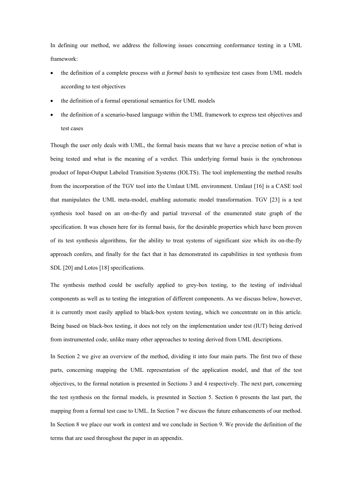In defining our method, we address the following issues concerning conformance testing in a UML framework:

- the definition of a complete process *with a formal basis* to synthesize test cases from UML models according to test objectives
- the definition of a formal operational semantics for UML models
- the definition of a scenario-based language within the UML framework to express test objectives and test cases

Though the user only deals with UML, the formal basis means that we have a precise notion of what is being tested and what is the meaning of a verdict. This underlying formal basis is the synchronous product of Input-Output Labeled Transition Systems (IOLTS). The tool implementing the method results from the incorporation of the TGV tool into the Umlaut UML environment. Umlaut [16] is a CASE tool that manipulates the UML meta-model, enabling automatic model transformation. TGV [23] is a test synthesis tool based on an on-the-fly and partial traversal of the enumerated state graph of the specification. It was chosen here for its formal basis, for the desirable properties which have been proven of its test synthesis algorithms, for the ability to treat systems of significant size which its on-the-fly approach confers, and finally for the fact that it has demonstrated its capabilities in test synthesis from SDL [20] and Lotos [18] specifications.

The synthesis method could be usefully applied to grey-box testing, to the testing of individual components as well as to testing the integration of different components. As we discuss below, however, it is currently most easily applied to black-box system testing, which we concentrate on in this article. Being based on black-box testing, it does not rely on the implementation under test (IUT) being derived from instrumented code, unlike many other approaches to testing derived from UML descriptions.

In Section 2 we give an overview of the method, dividing it into four main parts. The first two of these parts, concerning mapping the UML representation of the application model, and that of the test objectives, to the formal notation is presented in Sections 3 and 4 respectively. The next part, concerning the test synthesis on the formal models, is presented in Section 5. Section 6 presents the last part, the mapping from a formal test case to UML. In Section 7 we discuss the future enhancements of our method. In Section 8 we place our work in context and we conclude in Section 9. We provide the definition of the terms that are used throughout the paper in an appendix.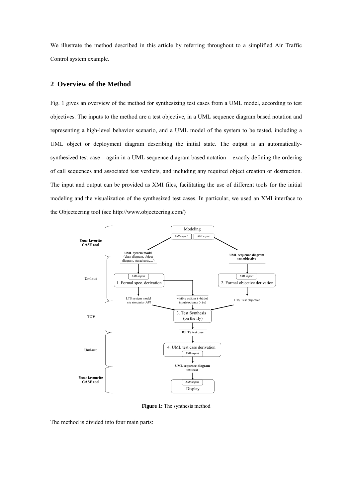We illustrate the method described in this article by referring throughout to a simplified Air Traffic Control system example.

# **2 Overview of the Method**

Fig. 1 gives an overview of the method for synthesizing test cases from a UML model, according to test objectives. The inputs to the method are a test objective, in a UML sequence diagram based notation and representing a high-level behavior scenario, and a UML model of the system to be tested, including a UML object or deployment diagram describing the initial state. The output is an automaticallysynthesized test case – again in a UML sequence diagram based notation – exactly defining the ordering of call sequences and associated test verdicts, and including any required object creation or destruction. The input and output can be provided as XMI files, facilitating the use of different tools for the initial modeling and the visualization of the synthesized test cases. In particular, we used an XMI interface to the Objecteering tool (see http://www.objecteering.com/)



**Figure 1:** The synthesis method

The method is divided into four main parts: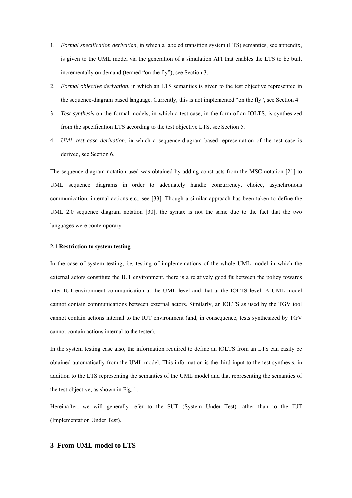- 1. *Formal specification derivation*, in which a labeled transition system (LTS) semantics, see appendix, is given to the UML model via the generation of a simulation API that enables the LTS to be built incrementally on demand (termed "on the fly"), see Section 3.
- 2. *Formal objective derivation*, in which an LTS semantics is given to the test objective represented in the sequence-diagram based language. Currently, this is not implemented "on the fly", see Section 4.
- 3. *Test synthesi*s on the formal models, in which a test case, in the form of an IOLTS, is synthesized from the specification LTS according to the test objective LTS, see Section 5.
- 4. *UML test case derivation*, in which a sequence-diagram based representation of the test case is derived, see Section 6.

The sequence-diagram notation used was obtained by adding constructs from the MSC notation [21] to UML sequence diagrams in order to adequately handle concurrency, choice, asynchronous communication, internal actions etc., see [33]. Though a similar approach has been taken to define the UML 2.0 sequence diagram notation [30], the syntax is not the same due to the fact that the two languages were contemporary.

#### **2.1 Restriction to system testing**

In the case of system testing, i.e. testing of implementations of the whole UML model in which the external actors constitute the IUT environment, there is a relatively good fit between the policy towards inter IUT-environment communication at the UML level and that at the IOLTS level. A UML model cannot contain communications between external actors. Similarly, an IOLTS as used by the TGV tool cannot contain actions internal to the IUT environment (and, in consequence, tests synthesized by TGV cannot contain actions internal to the tester).

In the system testing case also, the information required to define an IOLTS from an LTS can easily be obtained automatically from the UML model. This information is the third input to the test synthesis, in addition to the LTS representing the semantics of the UML model and that representing the semantics of the test objective, as shown in Fig. 1.

Hereinafter, we will generally refer to the SUT (System Under Test) rather than to the IUT (Implementation Under Test).

# **3 From UML model to LTS**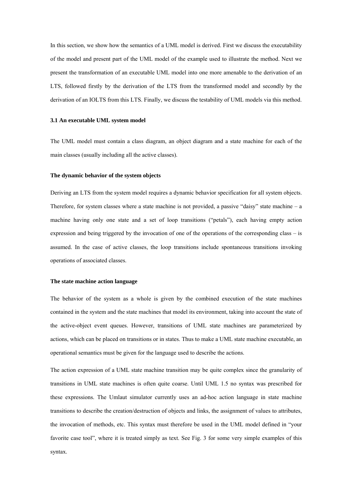In this section, we show how the semantics of a UML model is derived. First we discuss the executability of the model and present part of the UML model of the example used to illustrate the method. Next we present the transformation of an executable UML model into one more amenable to the derivation of an LTS, followed firstly by the derivation of the LTS from the transformed model and secondly by the derivation of an IOLTS from this LTS. Finally, we discuss the testability of UML models via this method.

#### **3.1 An executable UML system model**

The UML model must contain a class diagram, an object diagram and a state machine for each of the main classes (usually including all the active classes).

#### **The dynamic behavior of the system objects**

Deriving an LTS from the system model requires a dynamic behavior specification for all system objects. Therefore, for system classes where a state machine is not provided, a passive "daisy" state machine – a machine having only one state and a set of loop transitions ("petals"), each having empty action expression and being triggered by the invocation of one of the operations of the corresponding class – is assumed. In the case of active classes, the loop transitions include spontaneous transitions invoking operations of associated classes.

#### **The state machine action language**

The behavior of the system as a whole is given by the combined execution of the state machines contained in the system and the state machines that model its environment, taking into account the state of the active-object event queues. However, transitions of UML state machines are parameterized by actions, which can be placed on transitions or in states. Thus to make a UML state machine executable, an operational semantics must be given for the language used to describe the actions.

The action expression of a UML state machine transition may be quite complex since the granularity of transitions in UML state machines is often quite coarse. Until UML 1.5 no syntax was prescribed for these expressions. The Umlaut simulator currently uses an ad-hoc action language in state machine transitions to describe the creation/destruction of objects and links, the assignment of values to attributes, the invocation of methods, etc. This syntax must therefore be used in the UML model defined in "your favorite case tool", where it is treated simply as text. See Fig. 3 for some very simple examples of this syntax.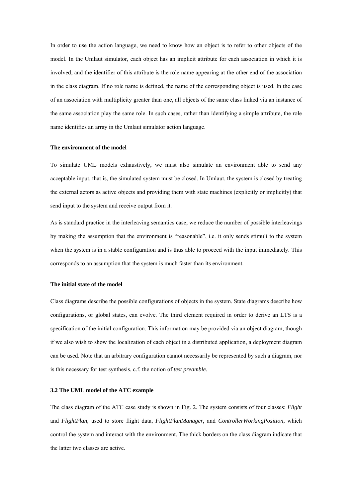In order to use the action language, we need to know how an object is to refer to other objects of the model. In the Umlaut simulator, each object has an implicit attribute for each association in which it is involved, and the identifier of this attribute is the role name appearing at the other end of the association in the class diagram. If no role name is defined, the name of the corresponding object is used. In the case of an association with multiplicity greater than one, all objects of the same class linked via an instance of the same association play the same role. In such cases, rather than identifying a simple attribute, the role name identifies an array in the Umlaut simulator action language.

# **The environment of the model**

To simulate UML models exhaustively, we must also simulate an environment able to send any acceptable input, that is, the simulated system must be closed. In Umlaut, the system is closed by treating the external actors as active objects and providing them with state machines (explicitly or implicitly) that send input to the system and receive output from it.

As is standard practice in the interleaving semantics case, we reduce the number of possible interleavings by making the assumption that the environment is "reasonable", i.e. it only sends stimuli to the system when the system is in a stable configuration and is thus able to proceed with the input immediately. This corresponds to an assumption that the system is much faster than its environment.

## **The initial state of the model**

Class diagrams describe the possible configurations of objects in the system. State diagrams describe how configurations, or global states, can evolve. The third element required in order to derive an LTS is a specification of the initial configuration. This information may be provided via an object diagram, though if we also wish to show the localization of each object in a distributed application, a deployment diagram can be used. Note that an arbitrary configuration cannot necessarily be represented by such a diagram, nor is this necessary for test synthesis, c.f. the notion of *test preamble*.

#### **3.2 The UML model of the ATC example**

The class diagram of the ATC case study is shown in Fig. 2. The system consists of four classes: *Flight* and *FlightPlan*, used to store flight data, *FlightPlanManager*, and *ControllerWorkingPosition*, which control the system and interact with the environment. The thick borders on the class diagram indicate that the latter two classes are active.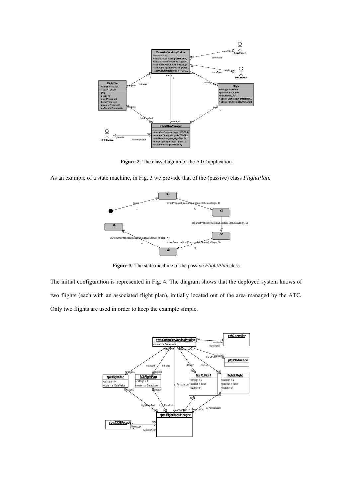

**Figure 2**: The class diagram of the ATC application

As an example of a state machine, in Fig. 3 we provide that of the (passive) class *FlightPlan*.



**Figure 3**: The state machine of the passive *FlightPlan* class

The initial configuration is represented in Fig. 4. The diagram shows that the deployed system knows of two flights (each with an associated flight plan), initially located out of the area managed by the ATC*.* Only two flights are used in order to keep the example simple.

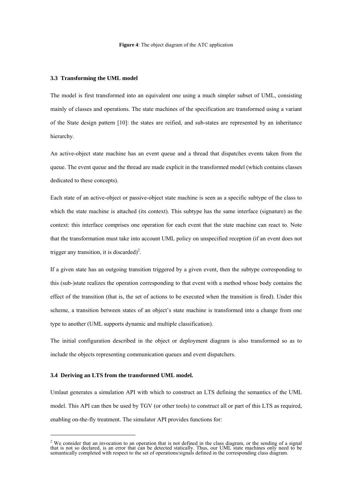#### **3.3 Transforming the UML model**

The model is first transformed into an equivalent one using a much simpler subset of UML, consisting mainly of classes and operations. The state machines of the specification are transformed using a variant of the State design pattern [10]: the states are reified, and sub-states are represented by an inheritance hierarchy.

An active-object state machine has an event queue and a thread that dispatches events taken from the queue. The event queue and the thread are made explicit in the transformed model (which contains classes dedicated to these concepts).

Each state of an active-object or passive-object state machine is seen as a specific subtype of the class to which the state machine is attached (its context). This subtype has the same interface (signature) as the context: this interface comprises one operation for each event that the state machine can react to. Note that the transformation must take into account UML policy on unspecified reception (if an event does not trigger any transition, it is discarded)<sup>2</sup>.

If a given state has an outgoing transition triggered by a given event, then the subtype corresponding to this (sub-)state realizes the operation corresponding to that event with a method whose body contains the effect of the transition (that is, the set of actions to be executed when the transition is fired). Under this scheme, a transition between states of an object's state machine is transformed into a change from one type to another (UML supports dynamic and multiple classification).

The initial configuration described in the object or deployment diagram is also transformed so as to include the objects representing communication queues and event dispatchers.

#### **3.4 Deriving an LTS from the transformed UML model.**

l

Umlaut generates a simulation API with which to construct an LTS defining the semantics of the UML model. This API can then be used by TGV (or other tools) to construct all or part of this LTS as required, enabling on-the-fly treatment. The simulator API provides functions for:

<sup>&</sup>lt;sup>2</sup> We consider that an invocation to an operation that is not defined in the class diagram, or the sending of a signal that is not so declared, is an error that can be detected statically. Thus, our UML state machines on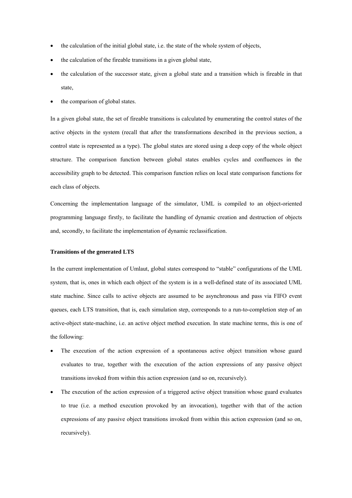- the calculation of the initial global state, i.e. the state of the whole system of objects,
- the calculation of the fireable transitions in a given global state,
- the calculation of the successor state, given a global state and a transition which is fireable in that state,
- the comparison of global states.

In a given global state, the set of fireable transitions is calculated by enumerating the control states of the active objects in the system (recall that after the transformations described in the previous section, a control state is represented as a type). The global states are stored using a deep copy of the whole object structure. The comparison function between global states enables cycles and confluences in the accessibility graph to be detected. This comparison function relies on local state comparison functions for each class of objects.

Concerning the implementation language of the simulator, UML is compiled to an object-oriented programming language firstly, to facilitate the handling of dynamic creation and destruction of objects and, secondly, to facilitate the implementation of dynamic reclassification.

#### **Transitions of the generated LTS**

In the current implementation of Umlaut, global states correspond to "stable" configurations of the UML system, that is, ones in which each object of the system is in a well-defined state of its associated UML state machine. Since calls to active objects are assumed to be asynchronous and pass via FIFO event queues, each LTS transition, that is, each simulation step, corresponds to a run-to-completion step of an active-object state-machine, i.e. an active object method execution. In state machine terms, this is one of the following:

- The execution of the action expression of a spontaneous active object transition whose guard evaluates to true, together with the execution of the action expressions of any passive object transitions invoked from within this action expression (and so on, recursively).
- The execution of the action expression of a triggered active object transition whose guard evaluates to true (i.e. a method execution provoked by an invocation), together with that of the action expressions of any passive object transitions invoked from within this action expression (and so on, recursively).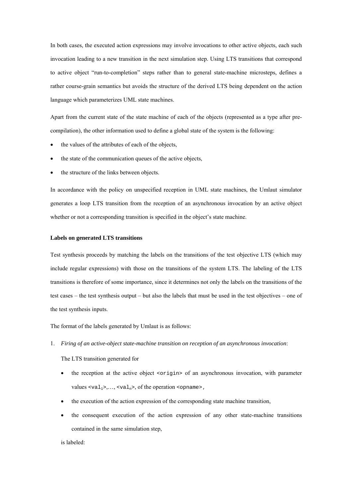In both cases, the executed action expressions may involve invocations to other active objects, each such invocation leading to a new transition in the next simulation step. Using LTS transitions that correspond to active object "run-to-completion" steps rather than to general state-machine microsteps, defines a rather course-grain semantics but avoids the structure of the derived LTS being dependent on the action language which parameterizes UML state machines.

Apart from the current state of the state machine of each of the objects (represented as a type after precompilation), the other information used to define a global state of the system is the following:

- the values of the attributes of each of the objects,
- the state of the communication queues of the active objects,
- the structure of the links between objects.

In accordance with the policy on unspecified reception in UML state machines, the Umlaut simulator generates a loop LTS transition from the reception of an asynchronous invocation by an active object whether or not a corresponding transition is specified in the object's state machine.

# **Labels on generated LTS transitions**

Test synthesis proceeds by matching the labels on the transitions of the test objective LTS (which may include regular expressions) with those on the transitions of the system LTS. The labeling of the LTS transitions is therefore of some importance, since it determines not only the labels on the transitions of the test cases – the test synthesis output – but also the labels that must be used in the test objectives – one of the test synthesis inputs.

The format of the labels generated by Umlaut is as follows:

1. *Firing of an active-object state-machine transition on reception of an asynchronous invocation*:

The LTS transition generated for

- the reception at the active object <origin> of an asynchronous invocation, with parameter values  $\langle val_1 \rangle, \ldots, \langle val_n \rangle$ , of the operation  $\langle$  opname $\rangle$ ,
- the execution of the action expression of the corresponding state machine transition,
- the consequent execution of the action expression of any other state-machine transitions contained in the same simulation step,

is labeled: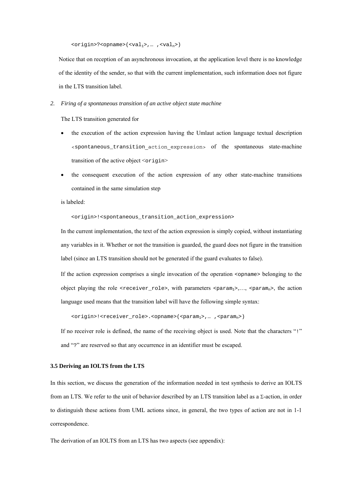```
\langle \text{origin}>? \langle \text{opename}> (\langle val_1 \rangle, ..., \langle val_n \rangle) \rangle
```
Notice that on reception of an asynchronous invocation, at the application level there is no knowledge of the identity of the sender, so that with the current implementation, such information does not figure in the LTS transition label.

*2. Firing of a spontaneous transition of an active object state machine* 

The LTS transition generated for

- the execution of the action expression having the Umlaut action language textual description <spontaneous\_transition\_action\_expression> of the spontaneous state-machine transition of the active object <origin>
- the consequent execution of the action expression of any other state-machine transitions contained in the same simulation step

is labeled:

<origin>!<spontaneous\_transition\_action\_expression>

In the current implementation, the text of the action expression is simply copied, without instantiating any variables in it. Whether or not the transition is guarded, the guard does not figure in the transition label (since an LTS transition should not be generated if the guard evaluates to false).

If the action expression comprises a single invocation of the operation <opname> belonging to the object playing the role  $\leq$  receiver\_role>, with parameters  $\leq$   $\leq$   $\leq$   $\leq$   $\leq$   $\leq$   $\leq$   $\leq$   $\leq$   $\leq$   $\leq$   $\leq$   $\leq$   $\leq$   $\leq$   $\leq$   $\leq$   $\leq$   $\leq$   $\leq$   $\leq$   $\leq$   $\leq$   $\leq$   $\leq$   $\leq$   $\le$ language used means that the transition label will have the following simple syntax:

<origin>!<receiver\_role>.<opname>(<param<sub>1</sub>>,… ,<param<sub>n</sub>>)

If no receiver role is defined, the name of the receiving object is used. Note that the characters "!" and "?" are reserved so that any occurrence in an identifier must be escaped.

# **3.5 Deriving an IOLTS from the LTS**

In this section, we discuss the generation of the information needed in test synthesis to derive an IOLTS from an LTS. We refer to the unit of behavior described by an LTS transition label as a Σ-action, in order to distinguish these actions from UML actions since, in general, the two types of action are not in 1-1 correspondence.

The derivation of an IOLTS from an LTS has two aspects (see appendix):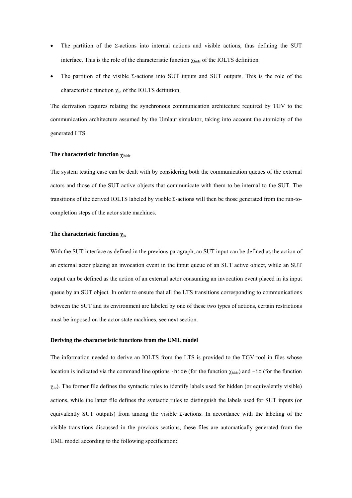- The partition of the  $\Sigma$ -actions into internal actions and visible actions, thus defining the SUT interface. This is the role of the characteristic function  $\chi_{\text{hide}}$  of the IOLTS definition
- The partition of the visible Σ-actions into SUT inputs and SUT outputs. This is the role of the characteristic function  $\chi_{io}$  of the IOLTS definition.

The derivation requires relating the synchronous communication architecture required by TGV to the communication architecture assumed by the Umlaut simulator, taking into account the atomicity of the generated LTS.

# **The characteristic function** χ**hide**

The system testing case can be dealt with by considering both the communication queues of the external actors and those of the SUT active objects that communicate with them to be internal to the SUT. The transitions of the derived IOLTS labeled by visible Σ-actions will then be those generated from the run-tocompletion steps of the actor state machines.

#### **The characteristic function** χ**io**

With the SUT interface as defined in the previous paragraph, an SUT input can be defined as the action of an external actor placing an invocation event in the input queue of an SUT active object, while an SUT output can be defined as the action of an external actor consuming an invocation event placed in its input queue by an SUT object. In order to ensure that all the LTS transitions corresponding to communications between the SUT and its environment are labeled by one of these two types of actions, certain restrictions must be imposed on the actor state machines, see next section.

#### **Deriving the characteristic functions from the UML model**

The information needed to derive an IOLTS from the LTS is provided to the TGV tool in files whose location is indicated via the command line options  $-\text{hide}$  (for the function  $\chi_{\text{hide}}$ ) and  $-\text{io}$  (for the function  $\chi_{i0}$ ). The former file defines the syntactic rules to identify labels used for hidden (or equivalently visible) actions, while the latter file defines the syntactic rules to distinguish the labels used for SUT inputs (or equivalently SUT outputs) from among the visible  $\Sigma$ -actions. In accordance with the labeling of the visible transitions discussed in the previous sections, these files are automatically generated from the UML model according to the following specification: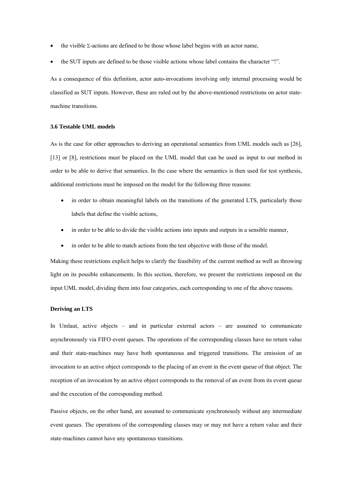- the visible  $\Sigma$ -actions are defined to be those whose label begins with an actor name,
- the SUT inputs are defined to be those visible actions whose label contains the character "!".

As a consequence of this definition, actor auto-invocations involving only internal processing would be classified as SUT inputs. However, these are ruled out by the above-mentioned restrictions on actor statemachine transitions.

# **3.6 Testable UML models**

As is the case for other approaches to deriving an operational semantics from UML models such as [26], [13] or [8], restrictions must be placed on the UML model that can be used as input to our method in order to be able to derive that semantics. In the case where the semantics is then used for test synthesis, additional restrictions must be imposed on the model for the following three reasons:

- in order to obtain meaningful labels on the transitions of the generated LTS, particularly those labels that define the visible actions,
- in order to be able to divide the visible actions into inputs and outputs in a sensible manner,
- in order to be able to match actions from the test objective with those of the model.

Making these restrictions explicit helps to clarify the feasibility of the current method as well as throwing light on its possible enhancements. In this section, therefore, we present the restrictions imposed on the input UML model, dividing them into four categories, each corresponding to one of the above reasons.

# **Deriving an LTS**

In Umlaut, active objects – and in particular external actors – are assumed to communicate asynchronously via FIFO event queues. The operations of the corresponding classes have no return value and their state-machines may have both spontaneous and triggered transitions. The emission of an invocation to an active object corresponds to the placing of an event in the event queue of that object. The reception of an invocation by an active object corresponds to the removal of an event from its event queue and the execution of the corresponding method.

Passive objects, on the other hand, are assumed to communicate synchronously without any intermediate event queues. The operations of the corresponding classes may or may not have a return value and their state-machines cannot have any spontaneous transitions.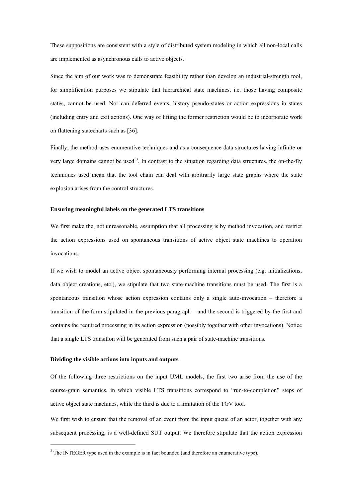These suppositions are consistent with a style of distributed system modeling in which all non-local calls are implemented as asynchronous calls to active objects.

Since the aim of our work was to demonstrate feasibility rather than develop an industrial-strength tool, for simplification purposes we stipulate that hierarchical state machines, i.e. those having composite states, cannot be used. Nor can deferred events, history pseudo-states or action expressions in states (including entry and exit actions). One way of lifting the former restriction would be to incorporate work on flattening statecharts such as [36].

Finally, the method uses enumerative techniques and as a consequence data structures having infinite or very large domains cannot be used  $3$ . In contrast to the situation regarding data structures, the on-the-fly techniques used mean that the tool chain can deal with arbitrarily large state graphs where the state explosion arises from the control structures.

#### **Ensuring meaningful labels on the generated LTS transitions**

We first make the, not unreasonable, assumption that all processing is by method invocation, and restrict the action expressions used on spontaneous transitions of active object state machines to operation invocations.

If we wish to model an active object spontaneously performing internal processing (e.g. initializations, data object creations, etc.), we stipulate that two state-machine transitions must be used. The first is a spontaneous transition whose action expression contains only a single auto-invocation – therefore a transition of the form stipulated in the previous paragraph – and the second is triggered by the first and contains the required processing in its action expression (possibly together with other invocations). Notice that a single LTS transition will be generated from such a pair of state-machine transitions.

#### **Dividing the visible actions into inputs and outputs**

 $\overline{a}$ 

Of the following three restrictions on the input UML models, the first two arise from the use of the course-grain semantics, in which visible LTS transitions correspond to "run-to-completion" steps of active object state machines, while the third is due to a limitation of the TGV tool.

We first wish to ensure that the removal of an event from the input queue of an actor, together with any subsequent processing, is a well-defined SUT output. We therefore stipulate that the action expression

 $3$  The INTEGER type used in the example is in fact bounded (and therefore an enumerative type).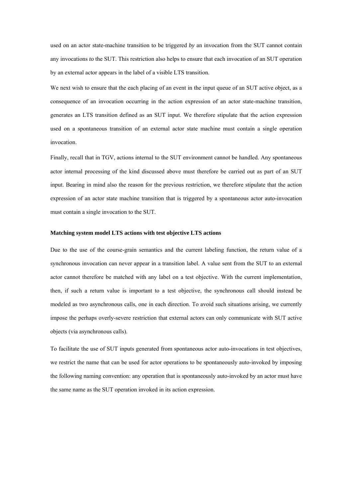used on an actor state-machine transition to be triggered *by* an invocation from the SUT cannot contain any invocations *to* the SUT. This restriction also helps to ensure that each invocation of an SUT operation by an external actor appears in the label of a visible LTS transition.

We next wish to ensure that the each placing of an event in the input queue of an SUT active object, as a consequence of an invocation occurring in the action expression of an actor state-machine transition, generates an LTS transition defined as an SUT input. We therefore stipulate that the action expression used on a spontaneous transition of an external actor state machine must contain a single operation invocation.

Finally, recall that in TGV, actions internal to the SUT environment cannot be handled. Any spontaneous actor internal processing of the kind discussed above must therefore be carried out as part of an SUT input. Bearing in mind also the reason for the previous restriction, we therefore stipulate that the action expression of an actor state machine transition that is triggered by a spontaneous actor auto-invocation must contain a single invocation to the SUT.

#### **Matching system model LTS actions with test objective LTS actions**

Due to the use of the course-grain semantics and the current labeling function, the return value of a synchronous invocation can never appear in a transition label. A value sent from the SUT to an external actor cannot therefore be matched with any label on a test objective. With the current implementation, then, if such a return value is important to a test objective, the synchronous call should instead be modeled as two asynchronous calls, one in each direction. To avoid such situations arising, we currently impose the perhaps overly-severe restriction that external actors can only communicate with SUT active objects (via asynchronous calls).

To facilitate the use of SUT inputs generated from spontaneous actor auto-invocations in test objectives, we restrict the name that can be used for actor operations to be spontaneously auto-invoked by imposing the following naming convention: any operation that is spontaneously auto-invoked by an actor must have the same name as the SUT operation invoked in its action expression.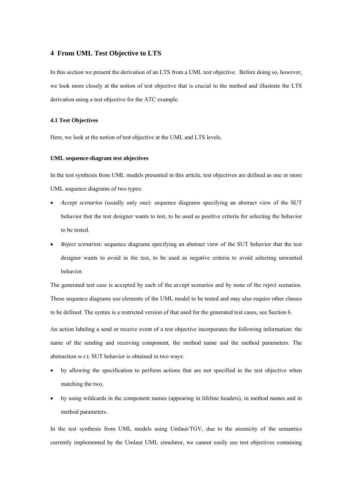# **4 From UML Test Objective to LTS**

In this section we present the derivation of an LTS from a UML test objective. Before doing so, however, we look more closely at the notion of test objective that is crucial to the method and illustrate the LTS derivation using a test objective for the ATC example.

# **4.1 Test Objectives**

Here, we look at the notion of test objective at the UML and LTS levels.

# **UML sequence-diagram test objectives**

In the test synthesis from UML models presented in this article, test objectives are defined as one or more UML sequence diagrams of two types:

- *Accept scenarios* (usually only one): sequence diagrams specifying an abstract view of the SUT behavior that the test designer wants to test, to be used as positive criteria for selecting the behavior to be tested.
- *Reject scenarios*: sequence diagrams specifying an abstract view of the SUT behavior that the test designer wants to avoid in the test, to be used as negative criteria to avoid selecting unwanted behavior.

The generated test case is accepted by each of the *accept* scenarios and by none of the *reject* scenarios. These sequence diagrams use elements of the UML model to be tested and may also require other classes to be defined. The syntax is a restricted version of that used for the generated test cases, see Section 6.

An action labeling a send or receive event of a test objective incorporates the following information: the name of the sending and receiving component, the method name and the method parameters. The abstraction w.r.t. SUT behavior is obtained in two ways:

- by allowing the specification to perform actions that are not specified in the test objective when matching the two,
- by using wildcards in the component names (appearing in lifeline headers), in method names and in method parameters.

In the test synthesis from UML models using Umlaut/TGV, due to the atomicity of the semantics currently implemented by the Umlaut UML simulator, we cannot easily use test objectives containing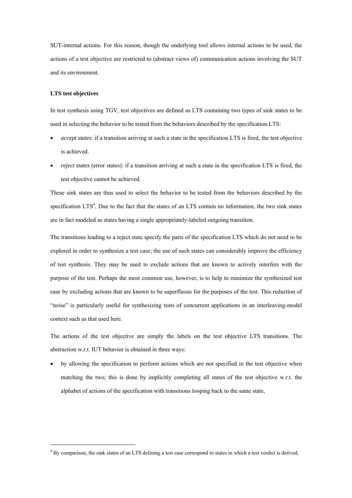SUT-internal actions. For this reason, though the underlying tool allows internal actions to be used, the actions of a test objective are restricted to (abstract views of) communication actions involving the SUT and its environment.

# **LTS test objectives**

 $\overline{a}$ 

In test synthesis using TGV, test objectives are defined as LTS containing two types of sink states to be used in selecting the behavior to be tested from the behaviors described by the specification LTS:

- *accept states*: if a transition arriving at such a state in the specification LTS is fired, the test objective is achieved.
- *reject states* (error states): if a transition arriving at such a state in the specification LTS is fired, the test objective cannot be achieved.

These sink states are thus used to select the behavior to be tested from the behaviors described by the specification  $LTS<sup>4</sup>$ . Due to the fact that the states of an LTS contain no information, the two sink states are in fact modeled as states having a single appropriately-labeled outgoing transition.

The transitions leading to a reject state specify the parts of the specification LTS which do not need to be explored in order to synthesize a test case; the use of such states can considerably improve the efficiency of test synthesis. They may be used to exclude actions that are known to actively interfere with the purpose of the test. Perhaps the most common use, however, is to help to minimize the synthesized test case by excluding actions that are known to be superfluous for the purposes of the test. This reduction of "noise" is particularly useful for synthesizing tests of concurrent applications in an interleaving-model context such as that used here.

The actions of the test objective are simply the labels on the test objective LTS transitions. The abstraction w.r.t. IUT behavior is obtained in three ways:

• by allowing the specification to perform actions which are not specified in the test objective when matching the two; this is done by implicitly completing all states of the test objective w.r.t. the alphabet of actions of the specification with transitions looping back to the same state,

<sup>&</sup>lt;sup>4</sup> By comparison, the sink states of an LTS defining a test case correspond to states in which a test verdict is derived.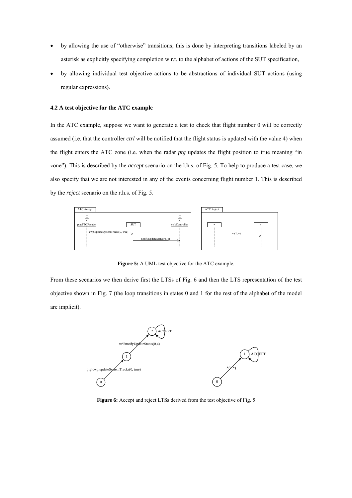- by allowing the use of "otherwise" transitions; this is done by interpreting transitions labeled by an asterisk as explicitly specifying completion w.r.t. to the alphabet of actions of the SUT specification,
- by allowing individual test objective actions to be abstractions of individual SUT actions (using regular expressions).

## **4.2 A test objective for the ATC example**

In the ATC example, suppose we want to generate a test to check that flight number 0 will be correctly assumed (i.e. that the controller *ctrl* will be notified that the flight status is updated with the value 4) when the flight enters the ATC zone (i.e. when the radar *ptg* updates the flight position to true meaning "in zone"). This is described by the *accept* scenario on the l.h.s. of Fig. 5. To help to produce a test case, we also specify that we are not interested in any of the events concerning flight number 1. This is described by the *reject* scenario on the r.h.s. of Fig. 5.



**Figure 5:** A UML test objective for the ATC example.

From these scenarios we then derive first the LTSs of Fig. 6 and then the LTS representation of the test objective shown in Fig. 7 (the loop transitions in states 0 and 1 for the rest of the alphabet of the model are implicit).



Figure 6: Accept and reject LTSs derived from the test objective of Fig. 5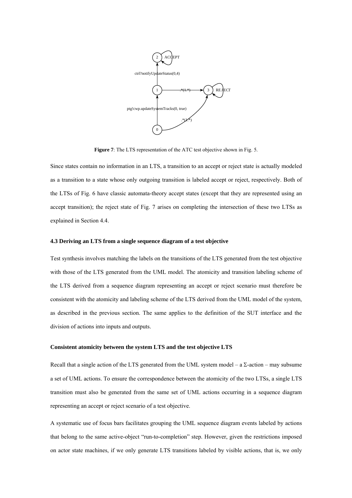

**Figure 7**: The LTS representation of the ATC test objective shown in Fig. 5.

Since states contain no information in an LTS, a transition to an accept or reject state is actually modeled as a transition to a state whose only outgoing transition is labeled accept or reject, respectively. Both of the LTSs of Fig. 6 have classic automata-theory accept states (except that they are represented using an accept transition); the reject state of Fig. 7 arises on completing the intersection of these two LTSs as explained in Section 4.4.

#### **4.3 Deriving an LTS from a single sequence diagram of a test objective**

Test synthesis involves matching the labels on the transitions of the LTS generated from the test objective with those of the LTS generated from the UML model. The atomicity and transition labeling scheme of the LTS derived from a sequence diagram representing an accept or reject scenario must therefore be consistent with the atomicity and labeling scheme of the LTS derived from the UML model of the system, as described in the previous section. The same applies to the definition of the SUT interface and the division of actions into inputs and outputs.

### **Consistent atomicity between the system LTS and the test objective LTS**

Recall that a single action of the LTS generated from the UML system model – a  $\Sigma$ -action – may subsume a set of UML actions. To ensure the correspondence between the atomicity of the two LTSs, a single LTS transition must also be generated from the same set of UML actions occurring in a sequence diagram representing an accept or reject scenario of a test objective.

A systematic use of focus bars facilitates grouping the UML sequence diagram events labeled by actions that belong to the same active-object "run-to-completion" step. However, given the restrictions imposed on actor state machines, if we only generate LTS transitions labeled by visible actions, that is, we only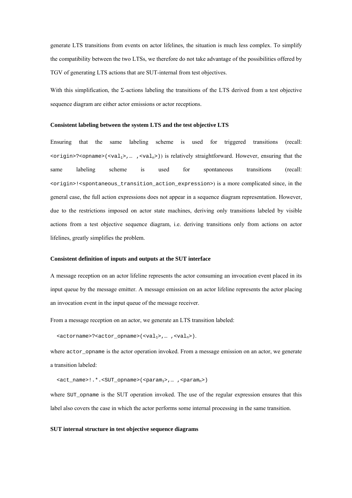generate LTS transitions from events on actor lifelines, the situation is much less complex. To simplify the compatibility between the two LTSs, we therefore do not take advantage of the possibilities offered by TGV of generating LTS actions that are SUT-internal from test objectives.

With this simplification, the  $\Sigma$ -actions labeling the transitions of the LTS derived from a test objective sequence diagram are either actor emissions or actor receptions.

#### **Consistent labeling between the system LTS and the test objective LTS**

Ensuring that the same labeling scheme is used for triggered transitions (recall:  $\langle \text{origin}>? \langle \text{opename}> (<\langle \text{val}_1 \rangle, \dots, \langle \text{val}_n \rangle) \rangle$  is relatively straightforward. However, ensuring that the same labeling scheme is used for spontaneous transitions (recall: <origin>!<spontaneous\_transition\_action\_expression>) is a more complicated since, in the general case, the full action expressions does not appear in a sequence diagram representation. However, due to the restrictions imposed on actor state machines, deriving only transitions labeled by visible actions from a test objective sequence diagram, i.e. deriving transitions only from actions on actor lifelines, greatly simplifies the problem.

#### **Consistent definition of inputs and outputs at the SUT interface**

A message reception on an actor lifeline represents the actor consuming an invocation event placed in its input queue by the message emitter. A message emission on an actor lifeline represents the actor placing an invocation event in the input queue of the message receiver.

From a message reception on an actor, we generate an LTS transition labeled:

 $\text{%}$ <actorname>?<actor\_opname>( $\text{~}$ val<sub>1</sub>>,..., $\text{~}$ val<sub>n</sub>>).

where  $actor\_opname$  is the actor operation invoked. From a message emission on an actor, we generate a transition labeled:

 $\text{sat_name}>!.*.\text{sUT}_\text{opname}>(\text{sparam}_1>,\ldots,\text{sparam}_n))$ 

where SUT\_opname is the SUT operation invoked. The use of the regular expression ensures that this label also covers the case in which the actor performs some internal processing in the same transition.

#### **SUT internal structure in test objective sequence diagrams**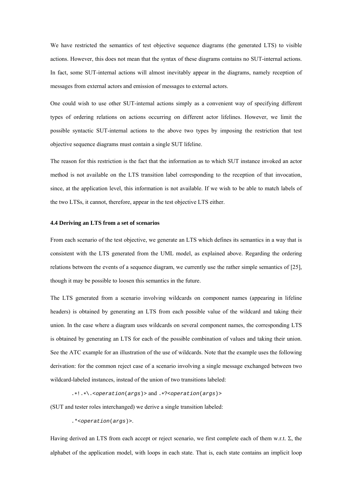We have restricted the semantics of test objective sequence diagrams (the generated LTS) to visible actions. However, this does not mean that the syntax of these diagrams contains no SUT-internal actions. In fact, some SUT-internal actions will almost inevitably appear in the diagrams, namely reception of messages from external actors and emission of messages to external actors.

One could wish to use other SUT-internal actions simply as a convenient way of specifying different types of ordering relations on actions occurring on different actor lifelines. However, we limit the possible syntactic SUT-internal actions to the above two types by imposing the restriction that test objective sequence diagrams must contain a single SUT lifeline.

The reason for this restriction is the fact that the information as to which SUT instance invoked an actor method is not available on the LTS transition label corresponding to the reception of that invocation, since, at the application level, this information is not available. If we wish to be able to match labels of the two LTSs, it cannot, therefore, appear in the test objective LTS either.

#### **4.4 Deriving an LTS from a set of scenarios**

From each scenario of the test objective, we generate an LTS which defines its semantics in a way that is consistent with the LTS generated from the UML model, as explained above. Regarding the ordering relations between the events of a sequence diagram, we currently use the rather simple semantics of [25], though it may be possible to loosen this semantics in the future.

The LTS generated from a scenario involving wildcards on component names (appearing in lifeline headers) is obtained by generating an LTS from each possible value of the wildcard and taking their union. In the case where a diagram uses wildcards on several component names, the corresponding LTS is obtained by generating an LTS for each of the possible combination of values and taking their union. See the ATC example for an illustration of the use of wildcards. Note that the example uses the following derivation: for the common reject case of a scenario involving a single message exchanged between two wildcard-labeled instances, instead of the union of two transitions labeled:

.∗!.∗\.<*operation*(*args*)> and .∗?<*operation*(*args*)>

(SUT and tester roles interchanged) we derive a single transition labeled:

.\*<*operation*(*args*)>.

Having derived an LTS from each accept or reject scenario, we first complete each of them w.r.t. Σ, the alphabet of the application model, with loops in each state. That is, each state contains an implicit loop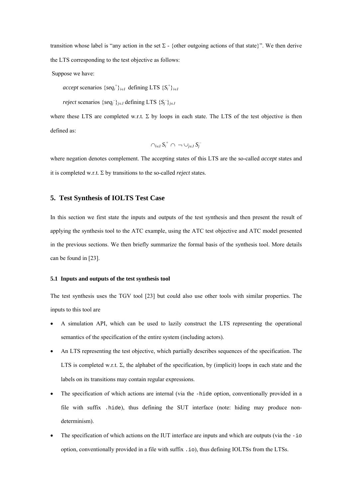transition whose label is "any action in the set  $\Sigma$  - {other outgoing actions of that state}". We then derive the LTS corresponding to the test objective as follows:

Suppose we have:

*accept* scenarios  $\{seq_i^{\dagger}\}_{i \in I}$  defining LTS  $\{S_i^{\dagger}\}_{i \in I}$ 

*reject* scenarios  $\{seq_j^-\}_{j \in J}$  defining LTS  $\{S_j^-\}_{j \in J}$ 

where these LTS are completed w.r.t.  $\Sigma$  by loops in each state. The LTS of the test objective is then defined as:

$$
\cap_{i\in I} S_i^+\cap \neg \cup_{j\in J} S_j^-
$$

where negation denotes complement. The accepting states of this LTS are the so-called *accept* states and it is completed w.r.t. Σ by transitions to the so-called *reject* states.

# **5. Test Synthesis of IOLTS Test Case**

In this section we first state the inputs and outputs of the test synthesis and then present the result of applying the synthesis tool to the ATC example, using the ATC test objective and ATC model presented in the previous sections. We then briefly summarize the formal basis of the synthesis tool. More details can be found in [23].

#### **5.1 Inputs and outputs of the test synthesis tool**

The test synthesis uses the TGV tool [23] but could also use other tools with similar properties. The inputs to this tool are

- A simulation API, which can be used to lazily construct the LTS representing the operational semantics of the specification of the entire system (including actors).
- An LTS representing the test objective, which partially describes sequences of the specification. The LTS is completed w.r.t.  $\Sigma$ , the alphabet of the specification, by (implicit) loops in each state and the labels on its transitions may contain regular expressions.
- The specification of which actions are internal (via the -hide option, conventionally provided in a file with suffix .hide), thus defining the SUT interface (note: hiding may produce nondeterminism).
- The specification of which actions on the IUT interface are inputs and which are outputs (via the  $-i\circ$ option, conventionally provided in a file with suffix .io), thus defining IOLTSs from the LTSs.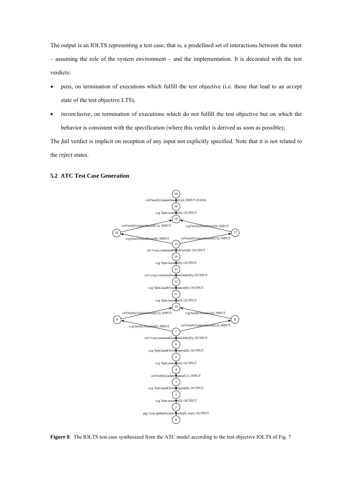The output is an IOLTS representing a test case, that is, a predefined set of interactions between the tester – assuming the role of the system environment – and the implementation. It is decorated with the test verdicts:

- *pass*, on termination of executions which fulfill the test objective (i.e. those that lead to an *accept* state of the test objective LTS),
- *inconclusive*, on termination of executions which do not fulfill the test objective but on which the behavior is consistent with the specification (where this verdict is derived as soon as possible);

The *fail* verdict is implicit on reception of any input not explicitly specified. Note that it is not related to the *reject* states.

# **5.2 ATC Test Case Generation**



Figure 8: The IOLTS test case synthesized from the ATC model according to the test objective IOLTS of Fig. 7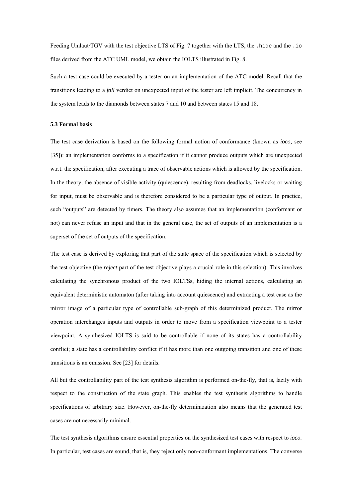Feeding Umlaut/TGV with the test objective LTS of Fig. 7 together with the LTS, the .hide and the .io files derived from the ATC UML model, we obtain the IOLTS illustrated in Fig. 8.

Such a test case could be executed by a tester on an implementation of the ATC model. Recall that the transitions leading to a *fail* verdict on unexpected input of the tester are left implicit. The concurrency in the system leads to the diamonds between states 7 and 10 and between states 15 and 18.

#### **5.3 Formal basis**

The test case derivation is based on the following formal notion of conformance (known as *ioco,* see [35]): an implementation conforms to a specification if it cannot produce outputs which are unexpected w.r.t. the specification, after executing a trace of observable actions which is allowed by the specification. In the theory, the absence of visible activity (quiescence), resulting from deadlocks, livelocks or waiting for input, must be observable and is therefore considered to be a particular type of output. In practice, such "outputs" are detected by timers. The theory also assumes that an implementation (conformant or not) can never refuse an input and that in the general case, the set of outputs of an implementation is a superset of the set of outputs of the specification.

The test case is derived by exploring that part of the state space of the specification which is selected by the test objective (the *reject* part of the test objective plays a crucial role in this selection). This involves calculating the synchronous product of the two IOLTSs, hiding the internal actions, calculating an equivalent deterministic automaton (after taking into account quiescence) and extracting a test case as the mirror image of a particular type of controllable sub-graph of this determinized product. The mirror operation interchanges inputs and outputs in order to move from a specification viewpoint to a tester viewpoint. A synthesized IOLTS is said to be controllable if none of its states has a controllability conflict; a state has a controllability conflict if it has more than one outgoing transition and one of these transitions is an emission. See [23] for details.

All but the controllability part of the test synthesis algorithm is performed on-the-fly, that is, lazily with respect to the construction of the state graph. This enables the test synthesis algorithms to handle specifications of arbitrary size. However, on-the-fly determinization also means that the generated test cases are not necessarily minimal.

The test synthesis algorithms ensure essential properties on the synthesized test cases with respect to *ioco*. In particular, test cases are sound, that is, they reject only non-conformant implementations. The converse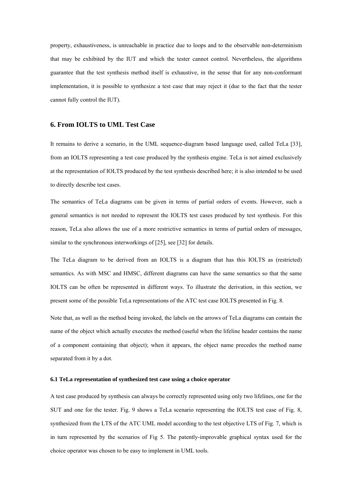property, exhaustiveness, is unreachable in practice due to loops and to the observable non-determinism that may be exhibited by the IUT and which the tester cannot control. Nevertheless, the algorithms guarantee that the test synthesis method itself is exhaustive, in the sense that for any non-conformant implementation, it is possible to synthesize a test case that may reject it (due to the fact that the tester cannot fully control the IUT).

# **6. From IOLTS to UML Test Case**

It remains to derive a scenario, in the UML sequence-diagram based language used, called TeLa [33], from an IOLTS representing a test case produced by the synthesis engine. TeLa is not aimed exclusively at the representation of IOLTS produced by the test synthesis described here; it is also intended to be used to directly describe test cases.

The semantics of TeLa diagrams can be given in terms of partial orders of events. However, such a general semantics is not needed to represent the IOLTS test cases produced by test synthesis. For this reason, TeLa also allows the use of a more restrictive semantics in terms of partial orders of messages, similar to the synchronous interworkings of [25], see [32] for details.

The TeLa diagram to be derived from an IOLTS is a diagram that has this IOLTS as (restricted) semantics. As with MSC and HMSC, different diagrams can have the same semantics so that the same IOLTS can be often be represented in different ways. To illustrate the derivation, in this section, we present some of the possible TeLa representations of the ATC test case IOLTS presented in Fig. 8.

Note that, as well as the method being invoked, the labels on the arrows of TeLa diagrams can contain the name of the object which actually executes the method (useful when the lifeline header contains the name of a component containing that object); when it appears, the object name precedes the method name separated from it by a dot.

#### **6.1 TeLa representation of synthesized test case using a choice operator**

A test case produced by synthesis can always be correctly represented using only two lifelines, one for the SUT and one for the tester. Fig. 9 shows a TeLa scenario representing the IOLTS test case of Fig. 8, synthesized from the LTS of the ATC UML model according to the test objective LTS of Fig. 7, which is in turn represented by the scenarios of Fig 5. The patently-improvable graphical syntax used for the choice operator was chosen to be easy to implement in UML tools.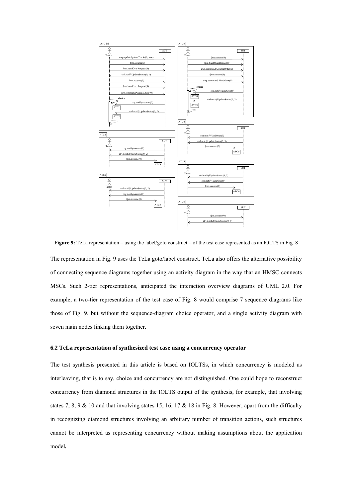

**Figure 9:** TeLa representation – using the label/goto construct – of the test case represented as an IOLTS in Fig. 8 The representation in Fig. 9 uses the TeLa goto/label construct. TeLa also offers the alternative possibility of connecting sequence diagrams together using an activity diagram in the way that an HMSC connects MSCs. Such 2-tier representations, anticipated the interaction overview diagrams of UML 2.0. For example, a two-tier representation of the test case of Fig. 8 would comprise 7 sequence diagrams like those of Fig. 9, but without the sequence-diagram choice operator, and a single activity diagram with seven main nodes linking them together.

#### **6.2 TeLa representation of synthesized test case using a concurrency operator**

The test synthesis presented in this article is based on IOLTSs, in which concurrency is modeled as interleaving, that is to say, choice and concurrency are not distinguished. One could hope to reconstruct concurrency from diamond structures in the IOLTS output of the synthesis, for example, that involving states 7, 8, 9  $\&$  10 and that involving states 15, 16, 17  $\&$  18 in Fig. 8. However, apart from the difficulty in recognizing diamond structures involving an arbitrary number of transition actions, such structures cannot be interpreted as representing concurrency without making assumptions about the application model*.*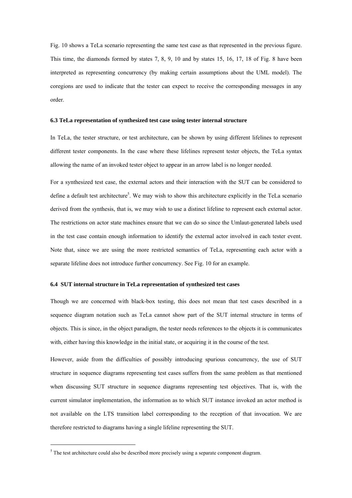Fig. 10 shows a TeLa scenario representing the same test case as that represented in the previous figure. This time, the diamonds formed by states 7, 8, 9, 10 and by states 15, 16, 17, 18 of Fig. 8 have been interpreted as representing concurrency (by making certain assumptions about the UML model). The coregions are used to indicate that the tester can expect to receive the corresponding messages in any order.

# **6.3 TeLa representation of synthesized test case using tester internal structure**

In TeLa, the tester structure, or test architecture, can be shown by using different lifelines to represent different tester components. In the case where these lifelines represent tester objects, the TeLa syntax allowing the name of an invoked tester object to appear in an arrow label is no longer needed.

For a synthesized test case, the external actors and their interaction with the SUT can be considered to define a default test architecture<sup>5</sup>. We may wish to show this architecture explicitly in the TeLa scenario derived from the synthesis, that is, we may wish to use a distinct lifeline to represent each external actor. The restrictions on actor state machines ensure that we can do so since the Umlaut-generated labels used in the test case contain enough information to identify the external actor involved in each tester event. Note that, since we are using the more restricted semantics of TeLa, representing each actor with a separate lifeline does not introduce further concurrency. See Fig. 10 for an example.

# **6.4 SUT internal structure in TeLa representation of synthesized test cases**

Though we are concerned with black-box testing, this does not mean that test cases described in a sequence diagram notation such as TeLa cannot show part of the SUT internal structure in terms of objects. This is since, in the object paradigm, the tester needs references to the objects it is communicates with, either having this knowledge in the initial state, or acquiring it in the course of the test.

However, aside from the difficulties of possibly introducing spurious concurrency, the use of SUT structure in sequence diagrams representing test cases suffers from the same problem as that mentioned when discussing SUT structure in sequence diagrams representing test objectives. That is, with the current simulator implementation, the information as to which SUT instance invoked an actor method is not available on the LTS transition label corresponding to the reception of that invocation. We are therefore restricted to diagrams having a single lifeline representing the SUT.

 $\overline{a}$ 

 $<sup>5</sup>$  The test architecture could also be described more precisely using a separate component diagram.</sup>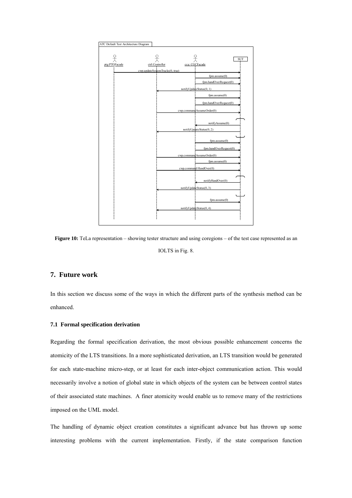

**Figure 10:** TeLa representation – showing tester structure and using coregions – of the test case represented as an IOLTS in Fig. 8.

# **7. Future work**

In this section we discuss some of the ways in which the different parts of the synthesis method can be enhanced.

#### **7.1 Formal specification derivation**

Regarding the formal specification derivation, the most obvious possible enhancement concerns the atomicity of the LTS transitions. In a more sophisticated derivation, an LTS transition would be generated for each state-machine micro-step, or at least for each inter-object communication action. This would necessarily involve a notion of global state in which objects of the system can be between control states of their associated state machines. A finer atomicity would enable us to remove many of the restrictions imposed on the UML model.

The handling of dynamic object creation constitutes a significant advance but has thrown up some interesting problems with the current implementation. Firstly, if the state comparison function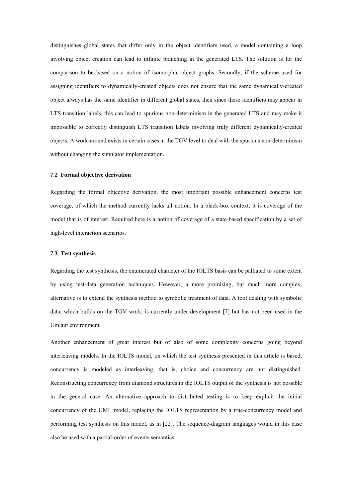distinguishes global states that differ only in the object identifiers used, a model containing a loop involving object creation can lead to infinite branching in the generated LTS. The solution is for the comparison to be based on a notion of isomorphic object graphs. Secondly, if the scheme used for assigning identifiers to dynamically-created objects does not ensure that the same dynamically-created object always has the same identifier in different global states, then since these identifiers may appear in LTS transition labels, this can lead to spurious non-determinism in the generated LTS and may make it impossible to correctly distinguish LTS transition labels involving truly different dynamically-created objects. A work-around exists in certain cases at the TGV level to deal with the spurious non-determinism without changing the simulator implementation.

# **7.2 Formal objective derivation**

Regarding the formal objective derivation, the most important possible enhancement concerns test coverage, of which the method currently lacks all notion. In a black-box context, it is coverage of the model that is of interest. Required here is a notion of coverage of a state-based specification by a set of high-level interaction scenarios.

#### **7.3 Test synthesis**

Regarding the test synthesis, the enumerated character of the IOLTS basis can be palliated to some extent by using test-data generation techniques. However, a more promising, but much more complex, alternative is to extend the synthesis method to symbolic treatment of data. A tool dealing with symbolic data, which builds on the TGV work, is currently under development [7] but has not been used in the Umlaut environment.

Another enhancement of great interest but of also of some complexity concerns going beyond interleaving models. In the IOLTS model, on which the test synthesis presented in this article is based, concurrency is modeled as interleaving, that is, choice and concurrency are not distinguished. Reconstructing concurrency from diamond structures in the IOLTS output of the synthesis is not possible in the general case. An alternative approach to distributed testing is to keep explicit the initial concurrency of the UML model, replacing the IOLTS representation by a true-concurrency model and performing test synthesis on this model, as in [22]. The sequence-diagram languages would in this case also be used with a partial-order of events semantics.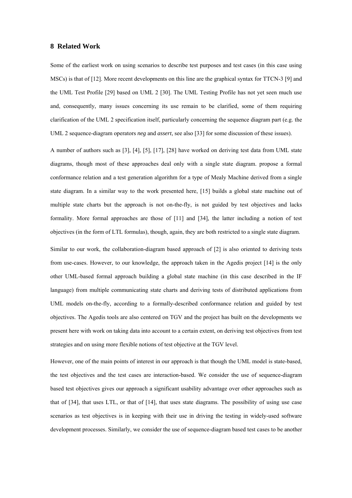# **8 Related Work**

Some of the earliest work on using scenarios to describe test purposes and test cases (in this case using MSCs) is that of [12]. More recent developments on this line are the graphical syntax for TTCN-3 [9] and the UML Test Profile [29] based on UML 2 [30]. The UML Testing Profile has not yet seen much use and, consequently, many issues concerning its use remain to be clarified, some of them requiring clarification of the UML 2 specification itself, particularly concerning the sequence diagram part (e.g. the UML 2 sequence-diagram operators *neg* and *assert*, see also [33] for some discussion of these issues).

A number of authors such as [3], [4], [5], [17], [28] have worked on deriving test data from UML state diagrams, though most of these approaches deal only with a single state diagram. propose a formal conformance relation and a test generation algorithm for a type of Mealy Machine derived from a single state diagram. In a similar way to the work presented here, [15] builds a global state machine out of multiple state charts but the approach is not on-the-fly, is not guided by test objectives and lacks formality. More formal approaches are those of [11] and [34], the latter including a notion of test objectives (in the form of LTL formulas), though, again, they are both restricted to a single state diagram.

Similar to our work, the collaboration-diagram based approach of [2] is also oriented to deriving tests from use-cases. However, to our knowledge, the approach taken in the Agedis project [14] is the only other UML-based formal approach building a global state machine (in this case described in the IF language) from multiple communicating state charts and deriving tests of distributed applications from UML models on-the-fly, according to a formally-described conformance relation and guided by test objectives. The Agedis tools are also centered on TGV and the project has built on the developments we present here with work on taking data into account to a certain extent, on deriving test objectives from test strategies and on using more flexible notions of test objective at the TGV level.

However, one of the main points of interest in our approach is that though the UML model is state-based, the test objectives and the test cases are interaction-based. We consider the use of sequence-diagram based test objectives gives our approach a significant usability advantage over other approaches such as that of [34], that uses LTL, or that of [14], that uses state diagrams. The possibility of using use case scenarios as test objectives is in keeping with their use in driving the testing in widely-used software development processes. Similarly, we consider the use of sequence-diagram based test cases to be another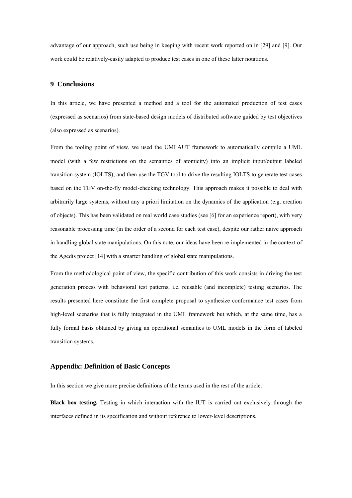advantage of our approach, such use being in keeping with recent work reported on in [29] and [9]. Our work could be relatively-easily adapted to produce test cases in one of these latter notations.

# **9 Conclusions**

In this article, we have presented a method and a tool for the automated production of test cases (expressed as scenarios) from state-based design models of distributed software guided by test objectives (also expressed as scenarios).

From the tooling point of view, we used the UMLAUT framework to automatically compile a UML model (with a few restrictions on the semantics of atomicity) into an implicit input/output labeled transition system (IOLTS); and then use the TGV tool to drive the resulting IOLTS to generate test cases based on the TGV on-the-fly model-checking technology. This approach makes it possible to deal with arbitrarily large systems, without any a priori limitation on the dynamics of the application (e.g. creation of objects). This has been validated on real world case studies (see [6] for an experience report), with very reasonable processing time (in the order of a second for each test case), despite our rather naive approach in handling global state manipulations. On this note, our ideas have been re-implemented in the context of the Agedis project [14] with a smarter handling of global state manipulations.

From the methodological point of view, the specific contribution of this work consists in driving the test generation process with behavioral test patterns, i.e. reusable (and incomplete) testing scenarios. The results presented here constitute the first complete proposal to synthesize conformance test cases from high-level scenarios that is fully integrated in the UML framework but which, at the same time, has a fully formal basis obtained by giving an operational semantics to UML models in the form of labeled transition systems.

# **Appendix: Definition of Basic Concepts**

In this section we give more precise definitions of the terms used in the rest of the article.

**Black box testing.** Testing in which interaction with the IUT is carried out exclusively through the interfaces defined in its specification and without reference to lower-level descriptions.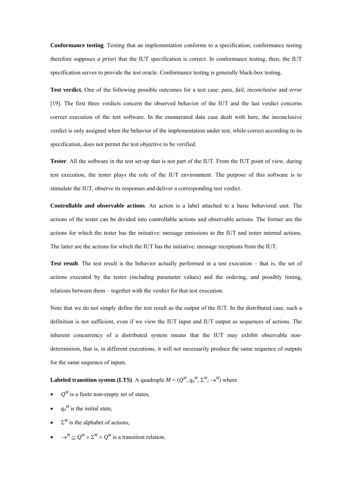**Conformance testing**. Testing that an implementation conforms to a specification; conformance testing therefore supposes *a priori* that the IUT specification is correct. In conformance testing, then, the IUT specification serves to provide the test oracle. Conformance testing is generally black-box testing.

**Test verdict.** One of the following possible outcomes for a test case: *pass*, *fail*, *inconclusive* and *error* [19]. The first three verdicts concern the observed behavior of the IUT and the last verdict concerns correct execution of the test software. In the enumerated data case dealt with here, the inconclusive verdict is only assigned when the behavior of the implementation under test, while correct according to its specification, does not permit the test objective to be verified.

**Tester**. All the software in the test set-up that is not part of the IUT. From the IUT point of view, during test execution, the tester plays the role of the IUT environment. The purpose of this software is to stimulate the IUT, observe its responses and deliver a corresponding test verdict.

**Controllable and observable actions**. An action is a label attached to a basic behavioral unit. The actions of the tester can be divided into controllable actions and observable actions. The former are the actions for which the tester has the initiative: message emissions to the IUT and tester internal actions. The latter are the actions for which the IUT has the initiative: message receptions from the IUT.

**Test result**. The test result is the behavior actually performed in a test execution – that is, the set of actions executed by the tester (including parameter values) and the ordering, and possibly timing, relations between them – together with the verdict for that test execution.

Note that we do not simply define the test result as the output of the IUT. In the distributed case, such a definition is not sufficient, even if we view the IUT input and IUT output as sequences of actions. The inherent concurrency of a distributed system means that the IUT may exhibit observable nondeterminism, that is, in different executions, it will not necessarily produce the same sequence of outputs for the same sequence of inputs.

**Labeled transition system (LTS)**. A quadruple  $M = (Q^M, q_0^M, \Sigma^M, \rightarrow^M)$  where

- $Q^M$  is a finite non-empty set of states,
- $q_0^M$  is the initial state,
- $\Sigma^M$  is the alphabet of actions,
- $\rightarrow^M \subset O^M \times \Sigma^M \times O^M$  is a transition relation.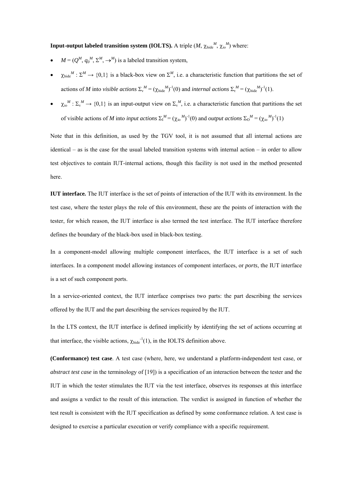# **Input-output labeled transition system (IOLTS).** A triple  $(M, \chi_{\text{hide}}^M, \chi_{\text{io}}^M)$  where:

- $M = (Q^M, q_0^M, \Sigma^M, \rightarrow^M)$  is a labeled transition system,
- $\chi_{\text{hide}}^M : \Sigma^M \to \{0,1\}$  is a black-box view on  $\Sigma^M$ , i.e. a characteristic function that partitions the set of actions of *M* into *visible actions*  $\Sigma_v^M = (\chi_{\text{hide}}^M)^{-1}(0)$  and *internal actions*  $\Sigma_v^M = (\chi_{\text{hide}}^M)^{-1}(1)$ .
- $\bullet$   $\chi_{io}^M : \Sigma_v^M \to \{0,1\}$  is an input-output view on  $\Sigma_v^M$ , i.e. a characteristic function that partitions the set of visible actions of *M* into *input actions*  $\Sigma_1^M = (\chi_{i0}^M)^{-1}(0)$  and *output actions*  $\Sigma_0^M = (\chi_{i0}^M)^{-1}(1)$

Note that in this definition, as used by the TGV tool, it is not assumed that all internal actions are identical – as is the case for the usual labeled transition systems with internal action – in order to allow test objectives to contain IUT-internal actions, though this facility is not used in the method presented here.

**IUT interface***.* The IUT interface is the set of points of interaction of the IUT with its environment. In the test case, where the tester plays the role of this environment, these are the points of interaction with the tester, for which reason, the IUT interface is also termed the test interface. The IUT interface therefore defines the boundary of the black-box used in black-box testing.

In a component-model allowing multiple component interfaces, the IUT interface is a set of such interfaces. In a component model allowing instances of component interfaces, or *ports*, the IUT interface is a set of such component ports.

In a service-oriented context, the IUT interface comprises two parts: the part describing the services offered by the IUT and the part describing the services required by the IUT.

In the LTS context, the IUT interface is defined implicitly by identifying the set of actions occurring at that interface, the visible actions,  $\chi_{\text{hidden}}^{-1}(1)$ , in the IOLTS definition above.

**(Conformance) test case**. A test case (where, here, we understand a platform-independent test case, or *abstract test case* in the terminology of [19]) is a specification of an interaction between the tester and the IUT in which the tester stimulates the IUT via the test interface, observes its responses at this interface and assigns a verdict to the result of this interaction. The verdict is assigned in function of whether the test result is consistent with the IUT specification as defined by some conformance relation. A test case is designed to exercise a particular execution or verify compliance with a specific requirement.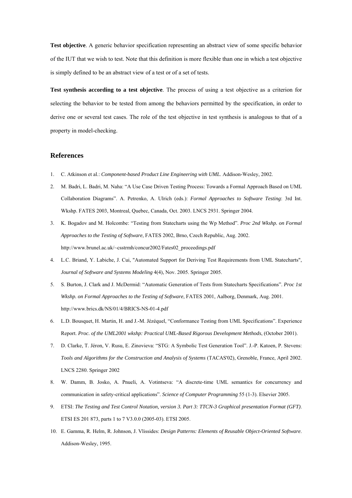**Test objective**. A generic behavior specification representing an abstract view of some specific behavior of the IUT that we wish to test. Note that this definition is more flexible than one in which a test objective is simply defined to be an abstract view of a test or of a set of tests.

**Test synthesis according to a test objective**. The process of using a test objective as a criterion for selecting the behavior to be tested from among the behaviors permitted by the specification, in order to derive one or several test cases. The role of the test objective in test synthesis is analogous to that of a property in model-checking.

# **References**

- 1. C. Atkinson et al.: *Component-based Product Line Engineering with UML*. Addison-Wesley, 2002.
- 2. M. Badri, L. Badri, M. Naha: "A Use Case Driven Testing Process: Towards a Formal Approach Based on UML Collaboration Diagrams". A. Petrenko, A. Ulrich (eds.): *Formal Approaches to Software Testing*: 3rd Int. Wkshp. FATES 2003, Montreal, Quebec, Canada, Oct. 2003. LNCS 2931. Springer 2004.
- 3. K. Bogadov and M. Holcombe: "Testing from Statecharts using the Wp Method". *Proc 2nd Wkshp. on Formal Approaches to the Testing of Software*, FATES 2002, Brno, Czech Republic, Aug. 2002. http://www.brunel.ac.uk/~csstrmh/concur2002/Fates02\_proceedings.pdf
- 4. L.C. Briand, Y. Labiche, J. Cui, "Automated Support for Deriving Test Requirements from UML Statecharts", *Journal of Software and Systems Modeling* 4(4), Nov. 2005. Springer 2005.
- 5. S. Burton, J. Clark and J. McDermid: "Automatic Generation of Tests from Statecharts Specifications". *Proc 1st Wkshp. on Formal Approaches to the Testing of Software*, FATES 2001, Aalborg, Denmark, Aug. 2001. http://www.brics.dk/NS/01/4/BRICS-NS-01-4.pdf
- 6. L.D. Bousquet, H. Martin, H. and J.-M. Jézéquel, "Conformance Testing from UML Specifications". Experience Report. *Proc. of the UML2001 wkshp: Practical UML-Based Rigorous Development Methods*, (October 2001).
- 7. D. Clarke, T. Jéron, V. Rusu, E. Zinovieva: "STG: A Symbolic Test Generation Tool". J.-P. Katoen, P. Stevens: *Tools and Algorithms for the Construction and Analysis of Systems* (TACAS'02), Grenoble, France, April 2002. LNCS 2280. Springer 2002
- 8. W. Damm, B. Josko, A. Pnueli, A. Votintseva: "A discrete-time UML semantics for concurrency and communication in safety-critical applications". *Science of Computer Programming* 55 (1-3). Elsevier 2005.
- 9. ETSI: *The Testing and Test Control Notation, version 3. Part 3: TTCN-3 Graphical presentation Format (GFT)*. ETSI ES 201 873, parts 1 to 7 V3.0.0 (2005-03). ETSI 2005.
- 10. E. Gamma, R. Helm, R. Johnson, J. Vlissides: *Design Patterns: Elements of Reusable Object-Oriented Software*. Addison-Wesley, 1995.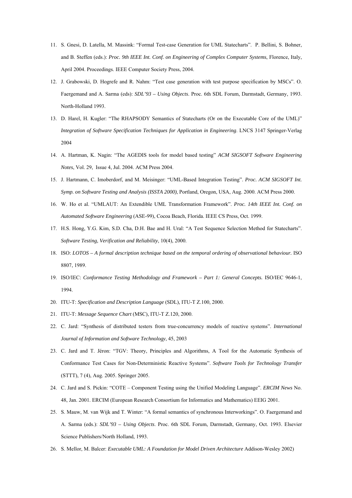- 11. S. Gnesi, D. Latella, M. Massink: "Formal Test-case Generation for UML Statecharts". P. Bellini, S. Bohner, and B. Steffen (eds.): *Proc. 9th IEEE Int. Conf. on Engineering of Complex Computer Systems*, Florence, Italy, April 2004. Proceedings. IEEE Computer Society Press, 2004.
- 12. J. Grabowski, D. Hogrefe and R. Nahm: "Test case generation with test purpose specification by MSCs". O. Faergemand and A. Sarma (eds): *SDL'93 – Using Objects*. Proc. 6th SDL Forum, Darmstadt, Germany, 1993. North-Holland 1993.
- 13. D. Harel, H. Kugler: "The RHAPSODY Semantics of Statecharts (Or on the Executable Core of the UML)" *Integration of Software Specification Techniques for Application in Engineering*. LNCS 3147 Springer-Verlag 2004
- 14. A. Hartman, K. Nagin: "The AGEDIS tools for model based testing" *ACM SIGSOFT Software Engineering Notes*, Vol. 29, Issue 4, Jul. 2004. ACM Press 2004.
- 15. J. Hartmann, C. Imoberdorf, and M. Meisinger: "UML-Based Integration Testing". *Proc. ACM SIGSOFT Int. Symp. on Software Testing and Analysis (ISSTA 2000)*, Portland, Oregon, USA, Aug. 2000. ACM Press 2000.
- 16. W. Ho et al. "UMLAUT: An Extendible UML Transformation Framework". *Proc. 14th IEEE Int. Conf. on Automated Software Engineering* (ASE-99), Cocoa Beach, Florida. IEEE CS Press, Oct. 1999.
- 17. H.S. Hong, Y.G. Kim, S.D. Cha, D.H. Bae and H. Ural: "A Test Sequence Selection Method for Statecharts". *Software Testing, Verification and Reliability*, 10(4), 2000.
- 18. ISO: *LOTOS A formal description technique based on the temporal ordering of observational behaviour.* ISO 8807, 1989.
- 19. ISO/IEC: *Conformance Testing Methodology and Framework Part 1: General Concepts.* ISO/IEC 9646-1, 1994.
- 20. ITU-T: *Specification and Description Language* (SDL), ITU-T Z.100, 2000.
- 21. ITU-T: *Message Sequence Chart* (MSC), ITU-T Z.120, 2000.
- 22. C. Jard: "Synthesis of distributed testers from true-concurrency models of reactive systems". *International Journal of Information and Software Technology*, 45, 2003
- 23. C. Jard and T. Jéron: "TGV: Theory, Principles and Algorithms, A Tool for the Automatic Synthesis of Conformance Test Cases for Non-Deterministic Reactive Systems". *Software Tools for Technology Transfer* (STTT), 7 (4), Aug. 2005. Springer 2005.
- 24. C. Jard and S. Pickin: "COTE Component Testing using the Unified Modeling Language". *ERCIM News* No. 48, Jan. 2001. ERCIM (European Research Consortium for Informatics and Mathematics) EEIG 2001.
- 25. S. Mauw, M. van Wijk and T. Winter: "A formal semantics of synchronous Interworkings". O. Faergemand and A. Sarma (eds.): *SDL'93 – Using Objects*. Proc. 6th SDL Forum, Darmstadt, Germany, Oct. 1993. Elsevier Science Publishers/North Holland, 1993.
- 26. S. Mellor, M. Balcer: *Executable UML: A Foundation for Model Driven Architecture* Addison-Wesley 2002)